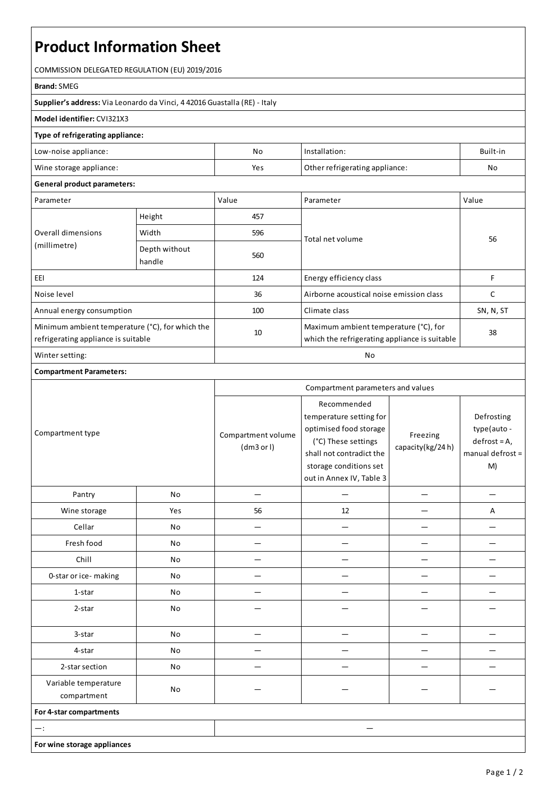# **Product Information Sheet**

COMMISSION DELEGATED REGULATION (EU) 2019/2016

#### **Brand:**SMEG

**Supplier's address:** ViaLeonardo da Vinci, 4 42016 Guastalla(RE) - Italy

## **Model identifier:** CVI321X3

### **Type of refrigerating appliance:**

| Low-noise appliance:    | No  | Installation:                  | Built-in |
|-------------------------|-----|--------------------------------|----------|
| Wine storage appliance: | Yes | Other refrigerating appliance: | Nc       |

#### **General product parameters:**

| Parameter                                                                              |                         | Value | Parameter                                                                              | Value     |
|----------------------------------------------------------------------------------------|-------------------------|-------|----------------------------------------------------------------------------------------|-----------|
| Overall dimensions<br>(millimetre)                                                     | Height                  | 457   |                                                                                        | 56        |
|                                                                                        | Width                   | 596   | Total net volume                                                                       |           |
|                                                                                        | Depth without<br>handle | 560   |                                                                                        |           |
| EEI                                                                                    |                         | 124   | Energy efficiency class                                                                | F         |
| Noise level                                                                            |                         | 36    | Airborne acoustical noise emission class                                               | C         |
| Annual energy consumption                                                              |                         | 100   | Climate class                                                                          | SN, N, ST |
| Minimum ambient temperature (°C), for which the<br>refrigerating appliance is suitable |                         | 10    | Maximum ambient temperature (°C), for<br>which the refrigerating appliance is suitable | 38        |
| Winter setting:                                                                        |                         | No    |                                                                                        |           |

### **Compartment Parameters:**

|                                     |     | Compartment parameters and values |                                                                                                                                                                           |                              |                                                                      |
|-------------------------------------|-----|-----------------------------------|---------------------------------------------------------------------------------------------------------------------------------------------------------------------------|------------------------------|----------------------------------------------------------------------|
| Compartment type                    |     | Compartment volume<br>(dm3 or l)  | Recommended<br>temperature setting for<br>optimised food storage<br>(°C) These settings<br>shall not contradict the<br>storage conditions set<br>out in Annex IV, Table 3 | Freezing<br>capacity(kg/24h) | Defrosting<br>type(auto-<br>$defrost = A,$<br>manual defrost =<br>M) |
| Pantry                              | No  |                                   |                                                                                                                                                                           |                              |                                                                      |
| Wine storage                        | Yes | 56                                | 12                                                                                                                                                                        |                              | А                                                                    |
| Cellar                              | No  |                                   |                                                                                                                                                                           |                              |                                                                      |
| Fresh food                          | No  |                                   |                                                                                                                                                                           |                              |                                                                      |
| Chill                               | No  |                                   |                                                                                                                                                                           |                              |                                                                      |
| 0-star or ice-making                | No  |                                   |                                                                                                                                                                           |                              |                                                                      |
| 1-star                              | No  |                                   |                                                                                                                                                                           |                              |                                                                      |
| 2-star                              | No  |                                   |                                                                                                                                                                           |                              |                                                                      |
| 3-star                              | No  |                                   |                                                                                                                                                                           |                              |                                                                      |
| 4-star                              | No  |                                   |                                                                                                                                                                           |                              |                                                                      |
| 2-star section                      | No  |                                   |                                                                                                                                                                           |                              |                                                                      |
| Variable temperature<br>compartment | No  |                                   |                                                                                                                                                                           |                              |                                                                      |
| For 4-star compartments             |     |                                   |                                                                                                                                                                           |                              |                                                                      |
| $-$ :                               |     |                                   |                                                                                                                                                                           |                              |                                                                      |
| For wine storage appliances         |     |                                   |                                                                                                                                                                           |                              |                                                                      |